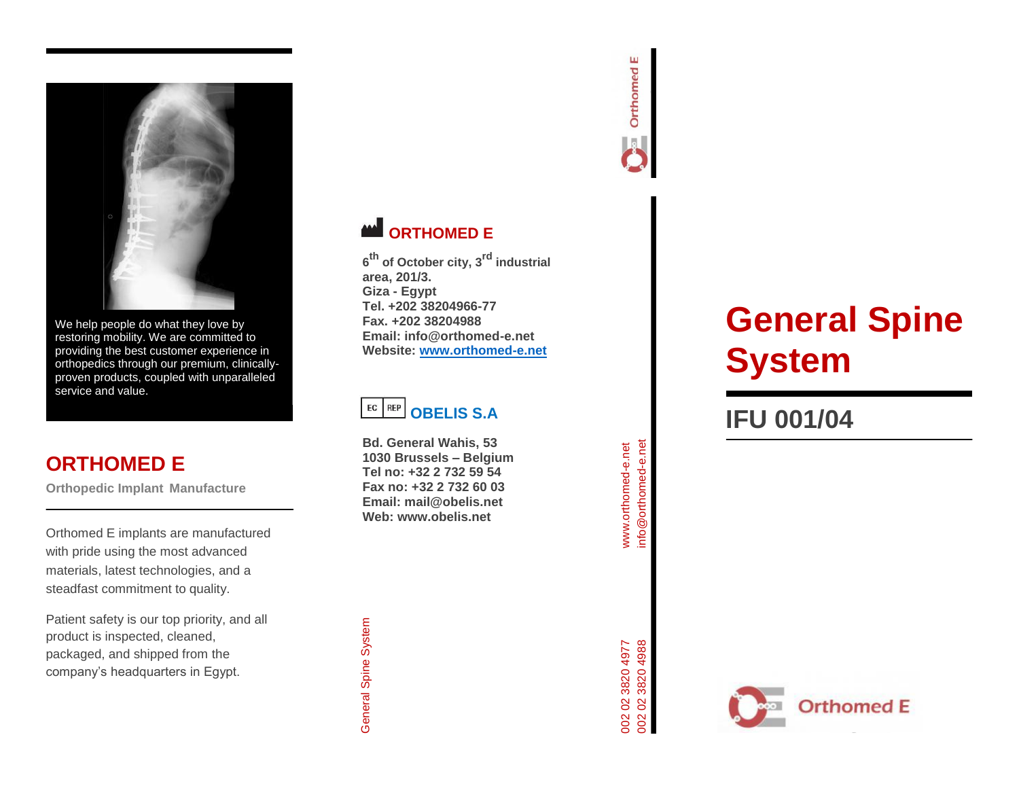

We help people do what they love by restoring mobility. We are committed to providing the best customer experience in orthopedics through our premium, clinically proven products, coupled with unparalleled service and value.

# **ORTHOMED E**

**Orthopedic Implant Manufacture**

Orthomed E implants are manufactured with pride using the most advanced materials, latest technologies, and a steadfast commitment to quality.

Patient safety is our top priority, and all product is inspected, cleaned, packaged, and shipped from the company's headquarters in Egypt.



# **WE ORTHOMED E**

**6 th of October city, 3rd industrial area, 201/3. Giza - Egypt Tel. +202 38204966 -77 Fax. +202 38204988 Email: info@orthomed -e.net Website: [www.orthomed](http://www.orthomed-e.net/) -e.net**



**Bd. General Wahis, 53 1030 Brussels – Belgium Tel no: +32 2 732 59 54 Fax no: +32 2 732 60 03 Email: mail@obelis.net Web: www.obelis.net**

# **General Spine System**

# **IFU 001/0 4**



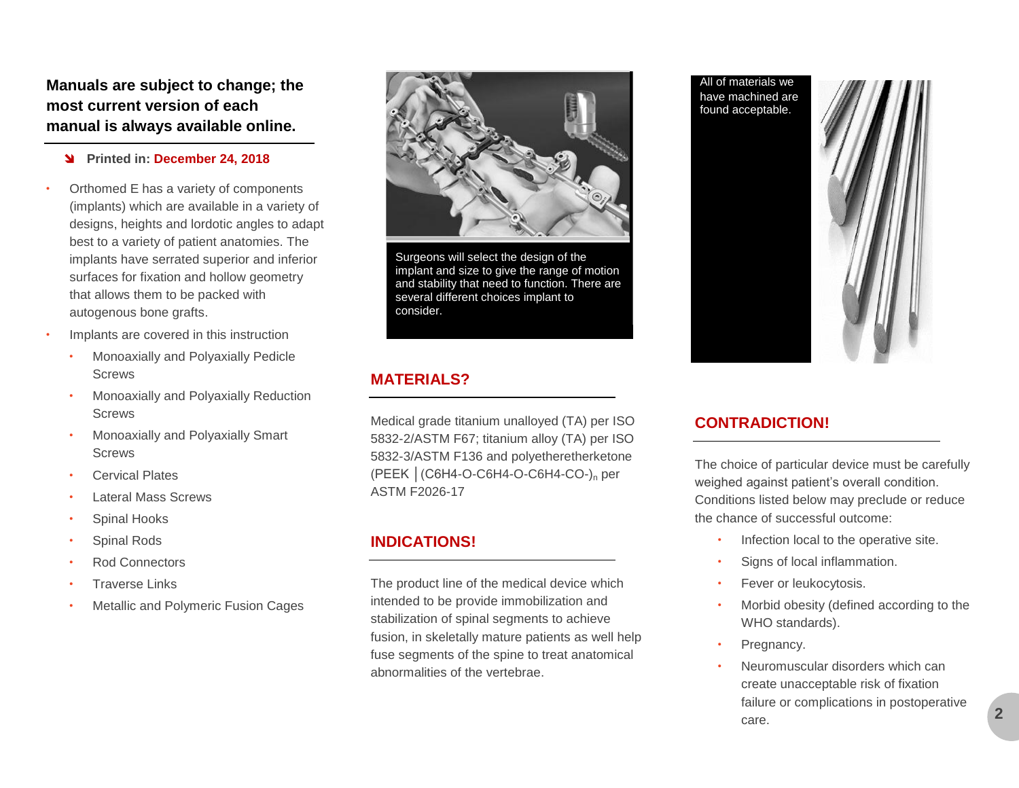**Manuals are subject to change; the most current version of each manual is always available online.**

#### **Printed in: December 24, 2018**

- Orthomed E has a variety of components (implants) which are available in a variety of designs, heights and lordotic angles to adapt best to a variety of patient anatomies. The implants have serrated superior and inferior surfaces for fixation and hollow geometry that allows them to be packed with autogenous bone grafts.
- Implants are covered in this instruction
	- Monoaxially and Polyaxially Pedicle **Screws**
	- Monoaxially and Polyaxially Reduction **Screws**
	- Monoaxially and Polyaxially Smart **Screws**
	- Cervical Plates
	- Lateral Mass Screws
	- Spinal Hooks
	- Spinal Rods
	- Rod Connectors
	- **Traverse Links**
	- Metallic and Polymeric Fusion Cages



Surgeons will select the design of the implant and size to give the range of motion and stability that need to function. There are several different choices implant to consider.

### **MATERIALS?**

Medical grade titanium unalloyed (TA) per ISO 5832-2/ASTM F67; titanium alloy (TA) per ISO 5832-3/ASTM F136 and polyetheretherketone (PEEK │(C6H4-O-C6H4-O-C6H4-CO-)<sup>n</sup> per ASTM F2026-17

### **INDICATIONS!**

The product line of the medical device which intended to be provide immobilization and stabilization of spinal segments to achieve fusion, in skeletally mature patients as well help fuse segments of the spine to treat anatomical abnormalities of the vertebrae.

All of materials we have machined are found acceptable.



#### **CONTRADICTION!**

The choice of particular device must be carefully weighed against patient's overall condition. Conditions listed below may preclude or reduce the chance of successful outcome:

- Infection local to the operative site.
- Signs of local inflammation.
- Fever or leukocytosis.
- Morbid obesity (defined according to the WHO standards).
- Pregnancy.
- Neuromuscular disorders which can create unacceptable risk of fixation failure or complications in postoperative care.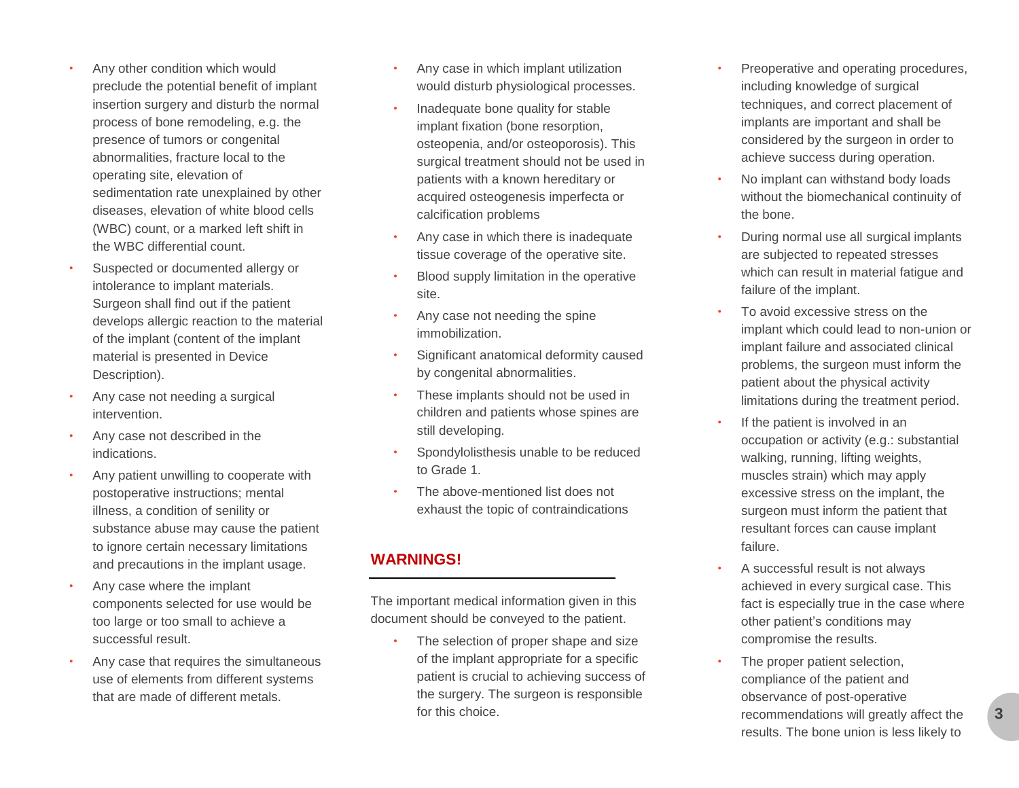- Any other condition which would preclude the potential benefit of implant insertion surgery and disturb the normal process of bone remodeling, e.g. the presence of tumors or congenital abnormalities, fracture local to the operating site, elevation of sedimentation rate unexplained by other diseases, elevation of white blood cells (WBC) count, or a marked left shift in the WBC differential count.
- Suspected or documented allergy or intolerance to implant materials. Surgeon shall find out if the patient develops allergic reaction to the material of the implant (content of the implant material is presented in Device Description).
- Any case not needing a surgical intervention.
- Any case not described in the indications.
- Any patient unwilling to cooperate with postoperative instructions; mental illness, a condition of senility or substance abuse may cause the patient to ignore certain necessary limitations and precautions in the implant usage.
- Any case where the implant components selected for use would be too large or too small to achieve a successful result.
- Any case that requires the simultaneous use of elements from different systems that are made of different metals.
- Any case in which implant utilization would disturb physiological processes.
- Inadequate bone quality for stable implant fixation (bone resorption, osteopenia, and/or osteoporosis). This surgical treatment should not be used in patients with a known hereditary or acquired osteogenesis imperfecta or calcification problems
- Any case in which there is inadequate tissue coverage of the operative site.
- Blood supply limitation in the operative site.
- Any case not needing the spine immobilization.
- Significant anatomical deformity caused by congenital abnormalities.
- These implants should not be used in children and patients whose spines are still developing.
- Spondylolisthesis unable to be reduced to Grade 1.
- The above -mentioned list does not exhaust the topic of contraindications

# **WARNINGS!**

The important medical information given in this document should be conveyed to the patient.

The selection of proper shape and size of the implant appropriate for a specific patient is crucial to achieving success of the surgery. The surgeon is responsible for this choice.

- Preoperative and operating procedures, including knowledge of surgical techniques, and correct placement of implants are important and shall be considered by the surgeon in order to achieve success during operation.
- No implant can withstand body loads without the biomechanical continuity of the bone.
- During normal use all surgical implants are subjected to repeated stresses which can result in material fatigue and failure of the implant.
- To avoid excessive stress on the implant which could lead to non -union or implant failure and associated clinical problems, the surgeon must inform the patient about the physical activity limitations during the treatment period.
- If the patient is involved in an occupation or activity (e.g.: substantial walking, running, lifting weights, muscles strain) which may apply excessive stress on the implant, the surgeon must inform the patient that resultant forces can cause implant failure.
- A successful result is not always achieved in every surgical case. This fact is especially true in the case where other patient's conditions may compromise the results.
- The proper patient selection, compliance of the patient and observance of post -operative recommendations will greatly affect the results. The bone union is less likely to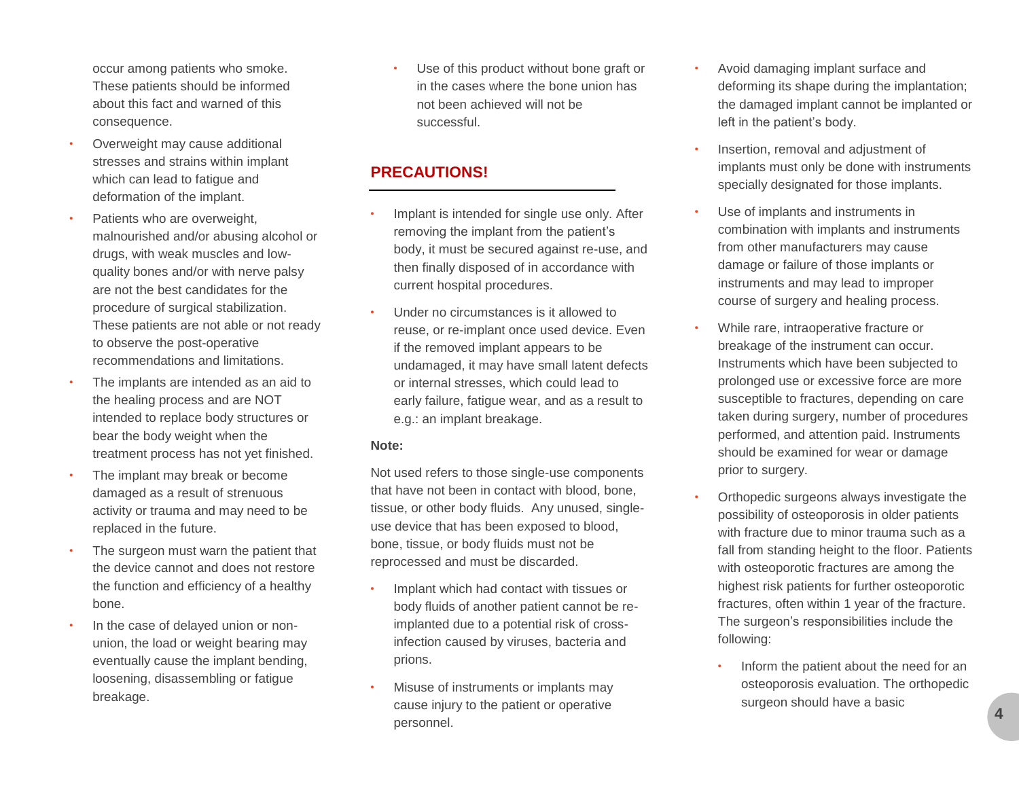occur among patients who smoke. These patients should be informed about this fact and warned of this consequence.

- Overweight may cause additional stresses and strains within implant which can lead to fatigue and deformation of the implant.
- Patients who are overweight, malnourished and/or abusing alcohol or drugs, with weak muscles and lowquality bones and/or with nerve palsy are not the best candidates for the procedure of surgical stabilization. These patients are not able or not ready to observe the post-operative recommendations and limitations.
- The implants are intended as an aid to the healing process and are NOT intended to replace body structures or bear the body weight when the treatment process has not yet finished.
- The implant may break or become damaged as a result of strenuous activity or trauma and may need to be replaced in the future.
- The surgeon must warn the patient that the device cannot and does not restore the function and efficiency of a healthy bone.
- In the case of delayed union or nonunion, the load or weight bearing may eventually cause the implant bending, loosening, disassembling or fatigue breakage.

Use of this product without bone graft or in the cases where the bone union has not been achieved will not be successful.

## **PRECAUTIONS!**

- Implant is intended for single use only. After removing the implant from the patient's body, it must be secured against re-use, and then finally disposed of in accordance with current hospital procedures.
- Under no circumstances is it allowed to reuse, or re-implant once used device. Even if the removed implant appears to be undamaged, it may have small latent defects or internal stresses, which could lead to early failure, fatigue wear, and as a result to e.g.: an implant breakage.

#### **Note:**

Not used refers to those single-use components that have not been in contact with blood, bone, tissue, or other body fluids. Any unused, singleuse device that has been exposed to blood, bone, tissue, or body fluids must not be reprocessed and must be discarded.

- Implant which had contact with tissues or body fluids of another patient cannot be reimplanted due to a potential risk of crossinfection caused by viruses, bacteria and prions.
- Misuse of instruments or implants may cause injury to the patient or operative personnel.
- Avoid damaging implant surface and deforming its shape during the implantation; the damaged implant cannot be implanted or left in the patient's body.
- Insertion, removal and adjustment of implants must only be done with instruments specially designated for those implants.
- Use of implants and instruments in combination with implants and instruments from other manufacturers may cause damage or failure of those implants or instruments and may lead to improper course of surgery and healing process.
- While rare, intraoperative fracture or breakage of the instrument can occur. Instruments which have been subjected to prolonged use or excessive force are more susceptible to fractures, depending on care taken during surgery, number of procedures performed, and attention paid. Instruments should be examined for wear or damage prior to surgery.
- Orthopedic surgeons always investigate the possibility of osteoporosis in older patients with fracture due to minor trauma such as a fall from standing height to the floor. Patients with osteoporotic fractures are among the highest risk patients for further osteoporotic fractures, often within 1 year of the fracture. The surgeon's responsibilities include the following:
	- Inform the patient about the need for an osteoporosis evaluation. The orthopedic surgeon should have a basic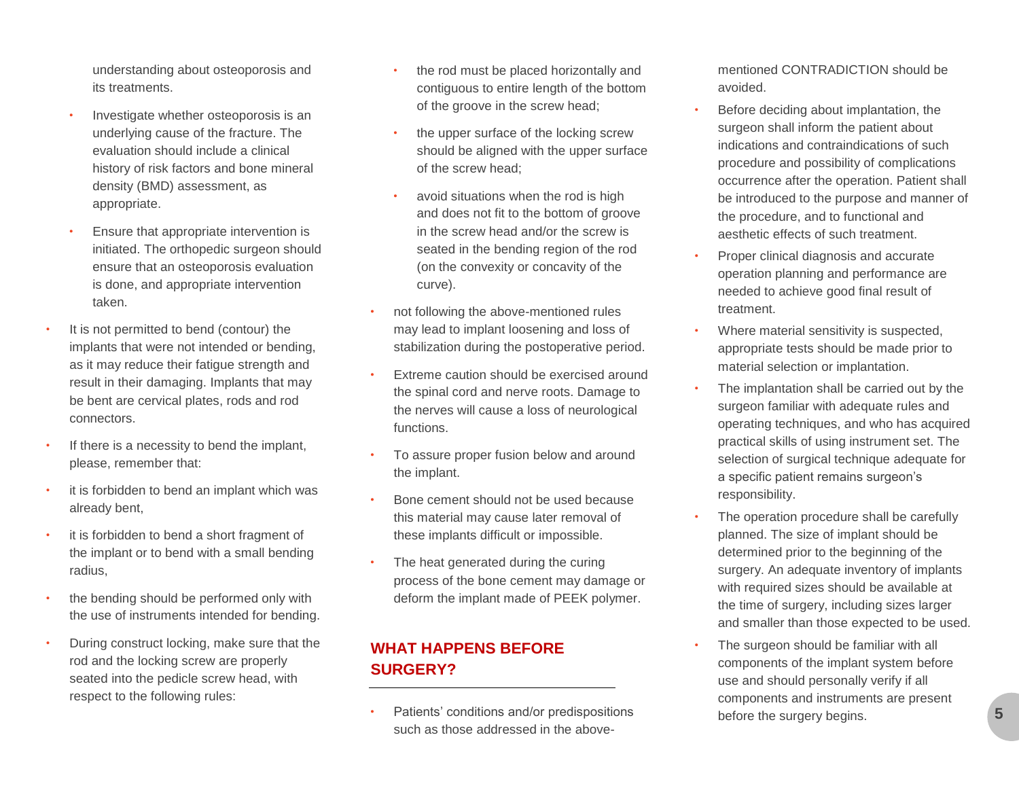understanding about osteoporosis and its treatments.

- Investigate whether osteoporosis is an underlying cause of the fracture. The evaluation should include a clinical history of risk factors and bone mineral density (BMD) assessment, as appropriate.
- Ensure that appropriate intervention is initiated. The orthopedic surgeon should ensure that an osteoporosis evaluation is done, and appropriate intervention taken.
- It is not permitted to bend (contour) the implants that were not intended or bending, as it may reduce their fatigue strength and result in their damaging. Implants that may be bent are cervical plates, rods and rod connectors.
- If there is a necessity to bend the implant, please, remember that:
- it is forbidden to bend an implant which was already bent,
- it is forbidden to bend a short fragment of the implant or to bend with a small bending radius,
- the bending should be performed only with the use of instruments intended for bending.
- During construct locking, make sure that the rod and the locking screw are properly seated into the pedicle screw head, with respect to the following rules:
- the rod must be placed horizontally and contiguous to entire length of the bottom of the groove in the screw head;
- the upper surface of the locking screw should be aligned with the upper surface of the screw head;
- avoid situations when the rod is high and does not fit to the bottom of groove in the screw head and/or the screw is seated in the bending region of the rod (on the convexity or concavity of the curve).
- not following the above-mentioned rules may lead to implant loosening and loss of stabilization during the postoperative period.
- Extreme caution should be exercised around the spinal cord and nerve roots. Damage to the nerves will cause a loss of neurological functions.
- To assure proper fusion below and around the implant.
- Bone cement should not be used because this material may cause later removal of these implants difficult or impossible.
- The heat generated during the curing process of the bone cement may damage or deform the implant made of PEEK polymer.

# **WHAT HAPPENS BEFORE SURGERY?**

• Patients' conditions and/or predispositions such as those addressed in the abovementioned CONTRADICTION should be avoided.

- Before deciding about implantation, the surgeon shall inform the patient about indications and contraindications of such procedure and possibility of complications occurrence after the operation. Patient shall be introduced to the purpose and manner of the procedure, and to functional and aesthetic effects of such treatment.
- Proper clinical diagnosis and accurate operation planning and performance are needed to achieve good final result of treatment.
- Where material sensitivity is suspected, appropriate tests should be made prior to material selection or implantation.
- The implantation shall be carried out by the surgeon familiar with adequate rules and operating techniques, and who has acquired practical skills of using instrument set. The selection of surgical technique adequate for a specific patient remains surgeon's responsibility.
- The operation procedure shall be carefully planned. The size of implant should be determined prior to the beginning of the surgery. An adequate inventory of implants with required sizes should be available at the time of surgery, including sizes larger and smaller than those expected to be used.
- The surgeon should be familiar with all components of the implant system before use and should personally verify if all components and instruments are present before the surgery begins.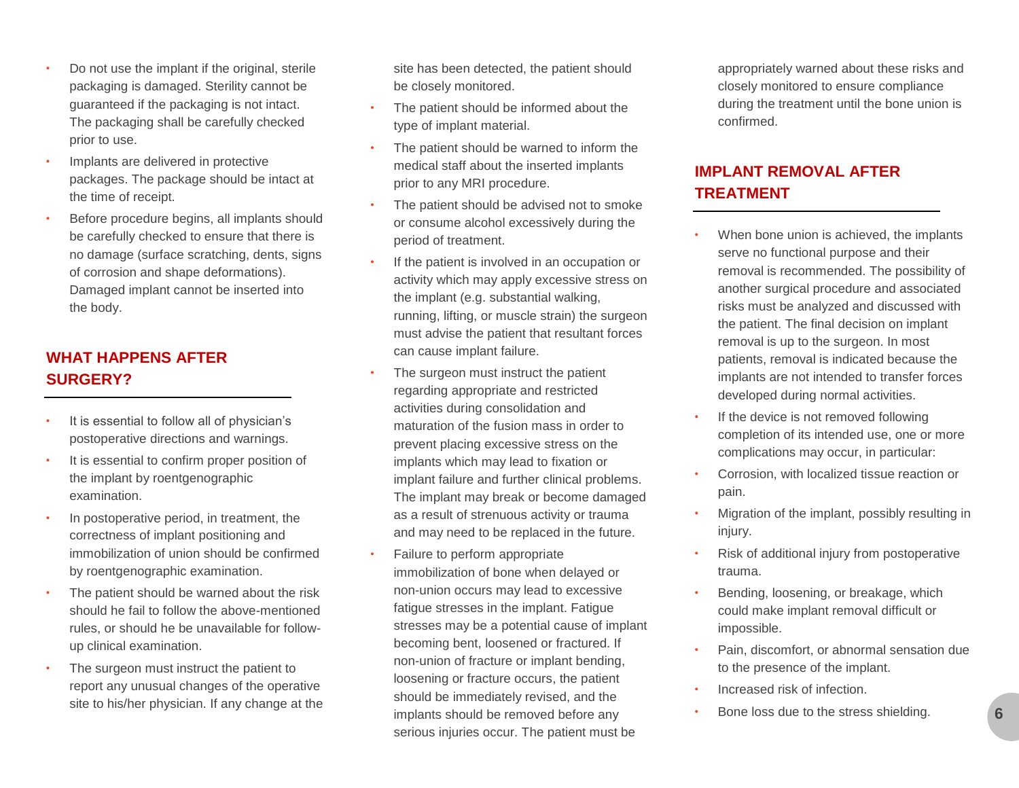- Do not use the implant if the original, sterile packaging is damaged. Sterility cannot be guaranteed if the packaging is not intact. The packaging shall be carefully checked prior to use.
- Implants are delivered in protective packages. The package should be intact at the time of receipt.
- Before procedure begins, all implants should be carefully checked to ensure that there is no damage (surface scratching, dents, signs of corrosion and shape deformations). Damaged implant cannot be inserted into the body.

# **WHAT HAPPENS AFTER SURGERY?**

- It is essential to follow all of physician's postoperative directions and warnings.
- It is essential to confirm proper position of the implant by roentgenographic examination.
- In postoperative period, in treatment, the correctness of implant positioning and immobilization of union should be confirmed by roentgenographic examination.
- The patient should be warned about the risk should he fail to follow the above-mentioned rules, or should he be unavailable for followup clinical examination.
- The surgeon must instruct the patient to report any unusual changes of the operative site to his/her physician. If any change at the

site has been detected, the patient should be closely monitored.

- The patient should be informed about the type of implant material.
- The patient should be warned to inform the medical staff about the inserted implants prior to any MRI procedure.
- The patient should be advised not to smoke or consume alcohol excessively during the period of treatment.
- If the patient is involved in an occupation or activity which may apply excessive stress on the implant (e.g. substantial walking, running, lifting, or muscle strain) the surgeon must advise the patient that resultant forces can cause implant failure.
- The surgeon must instruct the patient regarding appropriate and restricted activities during consolidation and maturation of the fusion mass in order to prevent placing excessive stress on the implants which may lead to fixation or implant failure and further clinical problems. The implant may break or become damaged as a result of strenuous activity or trauma and may need to be replaced in the future.
- Failure to perform appropriate immobilization of bone when delayed or non-union occurs may lead to excessive fatigue stresses in the implant. Fatigue stresses may be a potential cause of implant becoming bent, loosened or fractured. If non-union of fracture or implant bending, loosening or fracture occurs, the patient should be immediately revised, and the implants should be removed before any serious injuries occur. The patient must be

appropriately warned about these risks and closely monitored to ensure compliance during the treatment until the bone union is confirmed.

# **IMPLANT REMOVAL AFTER TREATMENT**

- When bone union is achieved, the implants serve no functional purpose and their removal is recommended. The possibility of another surgical procedure and associated risks must be analyzed and discussed with the patient. The final decision on implant removal is up to the surgeon. In most patients, removal is indicated because the implants are not intended to transfer forces developed during normal activities.
- If the device is not removed following completion of its intended use, one or more complications may occur, in particular:
- Corrosion, with localized tissue reaction or pain.
- Migration of the implant, possibly resulting in injury.
- Risk of additional injury from postoperative trauma.
- Bending, loosening, or breakage, which could make implant removal difficult or impossible.
- Pain, discomfort, or abnormal sensation due to the presence of the implant.
- Increased risk of infection.
- Bone loss due to the stress shielding.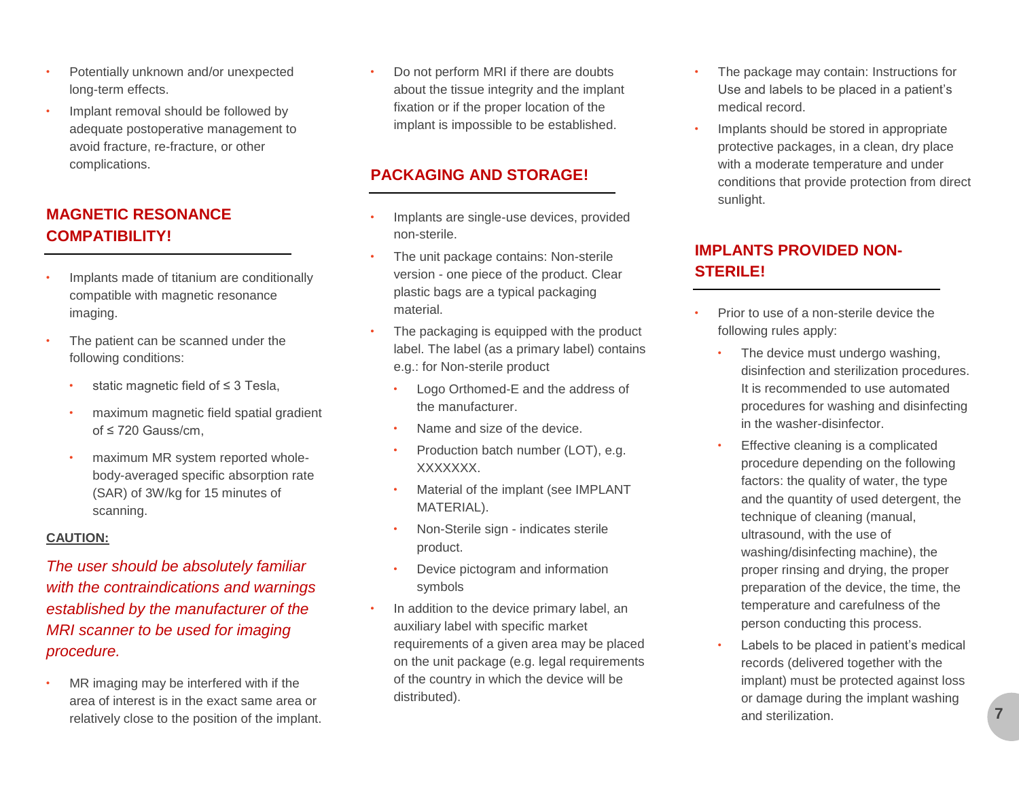- Potentially unknown and/or unexpected long-term effects.
- Implant removal should be followed by adequate postoperative management to avoid fracture, re-fracture, or other complications.

# **MAGNETIC RESONANCE COMPATIBILITY!**

- Implants made of titanium are conditionally compatible with magnetic resonance imaging.
- The patient can be scanned under the following conditions:
	- static magnetic field of ≤ 3 Tesla,
	- maximum magnetic field spatial gradient of ≤ 720 Gauss/cm,
	- maximum MR system reported wholebody-averaged specific absorption rate (SAR) of 3W/kg for 15 minutes of scanning.

#### **CAUTION:**

*The user should be absolutely familiar with the contraindications and warnings established by the manufacturer of the MRI scanner to be used for imaging procedure.*

MR imaging may be interfered with if the area of interest is in the exact same area or relatively close to the position of the implant.

• Do not perform MRI if there are doubts about the tissue integrity and the implant fixation or if the proper location of the implant is impossible to be established.

# **PACKAGING AND STORAGE!**

- Implants are single-use devices, provided non-sterile.
- The unit package contains: Non-sterile version - one piece of the product. Clear plastic bags are a typical packaging material.
- The packaging is equipped with the product label. The label (as a primary label) contains e.g.: for Non-sterile product
	- Logo Orthomed-E and the address of the manufacturer.
	- Name and size of the device.
	- Production batch number (LOT), e.g. XXXXXXX.
	- Material of the implant (see IMPLANT MATERIAL).
	- Non-Sterile sign indicates sterile product.
	- Device pictogram and information symbols
- In addition to the device primary label, an auxiliary label with specific market requirements of a given area may be placed on the unit package (e.g. legal requirements of the country in which the device will be distributed).
- The package may contain: Instructions for Use and labels to be placed in a patient's medical record.
- Implants should be stored in appropriate protective packages, in a clean, dry place with a moderate temperature and under conditions that provide protection from direct sunlight.

# **IMPLANTS PROVIDED NON-STERILE!**

- Prior to use of a non-sterile device the following rules apply:
	- The device must undergo washing, disinfection and sterilization procedures. It is recommended to use automated procedures for washing and disinfecting in the washer-disinfector.
	- Effective cleaning is a complicated procedure depending on the following factors: the quality of water, the type and the quantity of used detergent, the technique of cleaning (manual, ultrasound, with the use of washing/disinfecting machine), the proper rinsing and drying, the proper preparation of the device, the time, the temperature and carefulness of the person conducting this process.
	- Labels to be placed in patient's medical records (delivered together with the implant) must be protected against loss or damage during the implant washing and sterilization.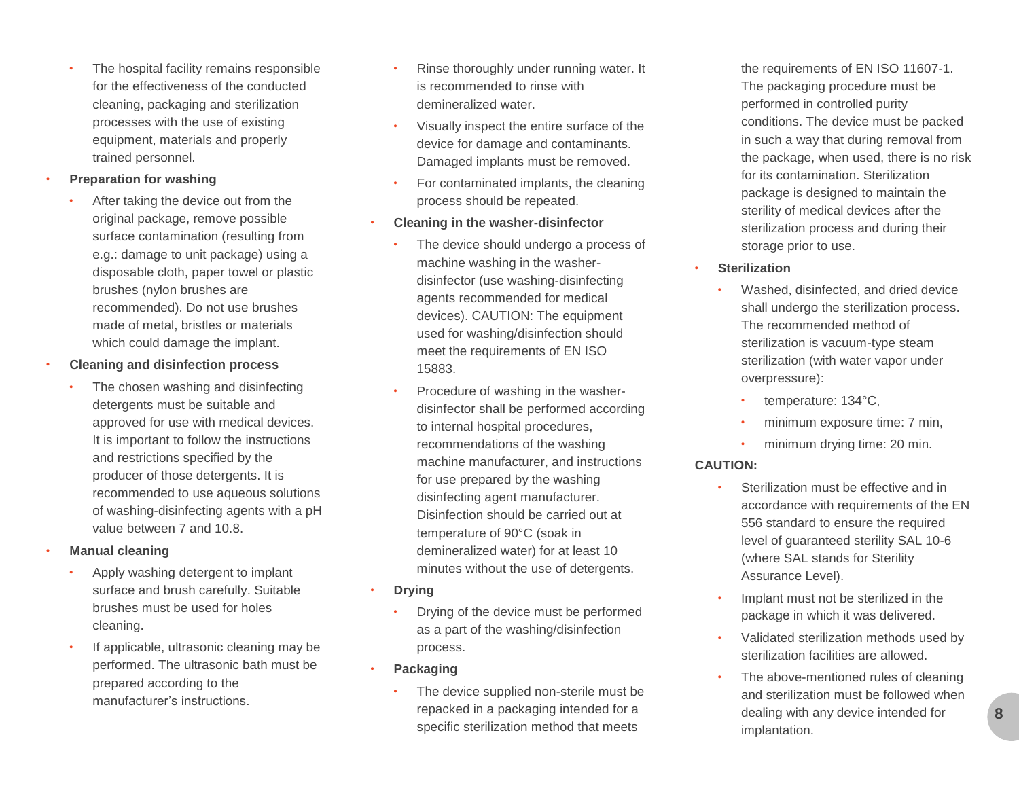The hospital facility remains responsible for the effectiveness of the conducted cleaning, packaging and sterilization processes with the use of existing equipment, materials and properly trained personnel.

#### • **Preparation for washing**

After taking the device out from the original package, remove possible surface contamination (resulting from e.g.: damage to unit package) using a disposable cloth, paper towel or plastic brushes (nylon brushes are recommended). Do not use brushes made of metal, bristles or materials which could damage the implant.

#### • **Cleaning and disinfection process**

The chosen washing and disinfecting detergents must be suitable and approved for use with medical devices. It is important to follow the instructions and restrictions specified by the producer of those detergents. It is recommended to use aqueous solutions of washing-disinfecting agents with a pH value between 7 and 10.8.

#### • **Manual cleaning**

- Apply washing detergent to implant surface and brush carefully. Suitable brushes must be used for holes cleaning.
- If applicable, ultrasonic cleaning may be performed. The ultrasonic bath must be prepared according to the manufacturer's instructions.
- Rinse thoroughly under running water. It is recommended to rinse with demineralized water.
- Visually inspect the entire surface of the device for damage and contaminants. Damaged implants must be removed.
- For contaminated implants, the cleaning process should be repeated.
- **Cleaning in the washer-disinfector**
	- The device should undergo a process of machine washing in the washerdisinfector (use washing-disinfecting agents recommended for medical devices). CAUTION: The equipment used for washing/disinfection should meet the requirements of EN ISO 15883.
	- Procedure of washing in the washerdisinfector shall be performed according to internal hospital procedures, recommendations of the washing machine manufacturer, and instructions for use prepared by the washing disinfecting agent manufacturer. Disinfection should be carried out at temperature of 90°C (soak in demineralized water) for at least 10 minutes without the use of detergents.
- **Drying**
	- Drying of the device must be performed as a part of the washing/disinfection process.
- **Packaging**
	- The device supplied non-sterile must be repacked in a packaging intended for a specific sterilization method that meets

the requirements of EN ISO 11607-1. The packaging procedure must be performed in controlled purity conditions. The device must be packed in such a way that during removal from the package, when used, there is no risk for its contamination. Sterilization package is designed to maintain the sterility of medical devices after the sterilization process and during their storage prior to use.

- **Sterilization**
	- Washed, disinfected, and dried device shall undergo the sterilization process. The recommended method of sterilization is vacuum-type steam sterilization (with water vapor under overpressure):
		- temperature: 134°C,
		- minimum exposure time: 7 min,
		- minimum drying time: 20 min.

### **CAUTION:**

- Sterilization must be effective and in accordance with requirements of the EN 556 standard to ensure the required level of guaranteed sterility SAL 10-6 (where SAL stands for Sterility Assurance Level).
- Implant must not be sterilized in the package in which it was delivered.
- Validated sterilization methods used by sterilization facilities are allowed.
- The above-mentioned rules of cleaning and sterilization must be followed when dealing with any device intended for implantation.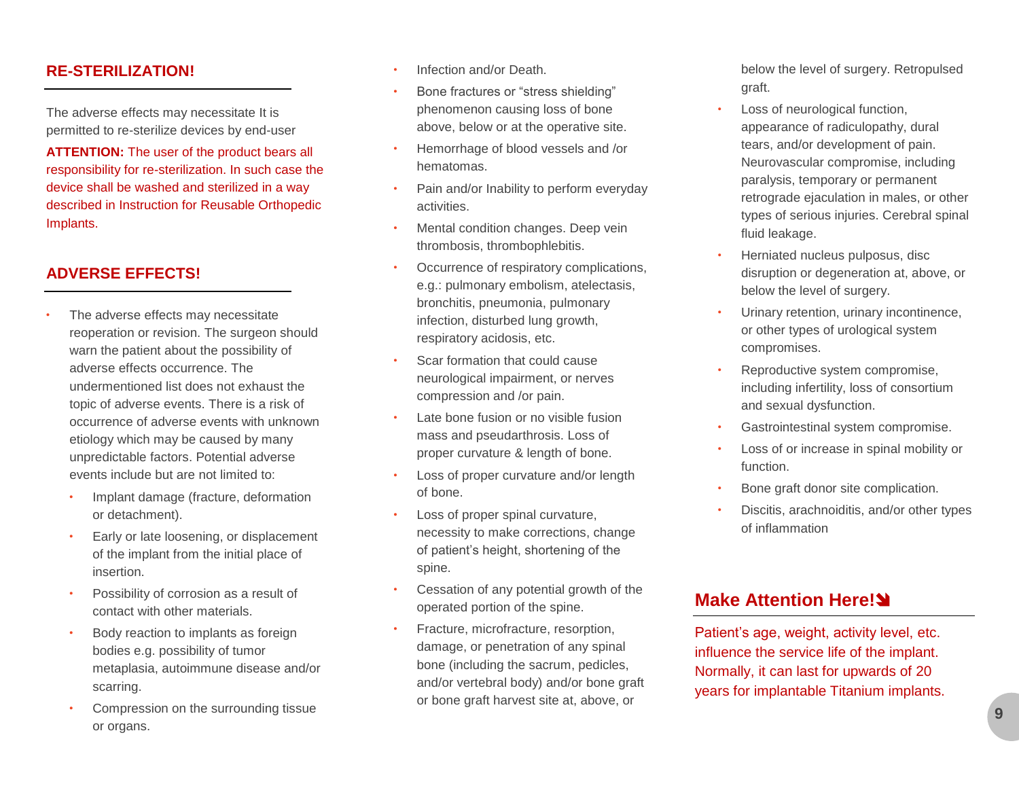### **RE-STERILIZATION!**

The adverse effects may necessitate It is permitted to re-sterilize devices by end-user

**ATTENTION:** The user of the product bears all responsibility for re-sterilization. In such case the device shall be washed and sterilized in a way described in Instruction for Reusable Orthopedic Implants.

## **ADVERSE EFFECTS!**

- The adverse effects may necessitate reoperation or revision. The surgeon should warn the patient about the possibility of adverse effects occurrence. The undermentioned list does not exhaust the topic of adverse events. There is a risk of occurrence of adverse events with unknown etiology which may be caused by many unpredictable factors. Potential adverse events include but are not limited to:
	- Implant damage (fracture, deformation or detachment).
	- Early or late loosening, or displacement of the implant from the initial place of insertion.
	- Possibility of corrosion as a result of contact with other materials.
	- Body reaction to implants as foreign bodies e.g. possibility of tumor metaplasia, autoimmune disease and/or scarring.
	- Compression on the surrounding tissue or organs.
- Infection and/or Death.
- Bone fractures or "stress shielding" phenomenon causing loss of bone above, below or at the operative site.
- Hemorrhage of blood vessels and /or hematomas.
- Pain and/or Inability to perform everyday activities.
- Mental condition changes. Deep vein thrombosis, thrombophlebitis.
- Occurrence of respiratory complications, e.g.: pulmonary embolism, atelectasis, bronchitis, pneumonia, pulmonary infection, disturbed lung growth, respiratory acidosis, etc.
- Scar formation that could cause neurological impairment, or nerves compression and /or pain.
- Late bone fusion or no visible fusion mass and pseudarthrosis. Loss of proper curvature & length of bone.
- Loss of proper curvature and/or length of bone.
- Loss of proper spinal curvature, necessity to make corrections, change of patient's height, shortening of the spine.
- Cessation of any potential growth of the operated portion of the spine.
- Fracture, microfracture, resorption, damage, or penetration of any spinal bone (including the sacrum, pedicles, and/or vertebral body) and/or bone graft or bone graft harvest site at, above, or

below the level of surgery. Retropulsed graft.

- Loss of neurological function, appearance of radiculopathy, dural tears, and/or development of pain. Neurovascular compromise, including paralysis, temporary or permanent retrograde ejaculation in males, or other types of serious injuries. Cerebral spinal fluid leakage.
- Herniated nucleus pulposus, disc disruption or degeneration at, above, or below the level of surgery.
- Urinary retention, urinary incontinence, or other types of urological system compromises.
- Reproductive system compromise, including infertility, loss of consortium and sexual dysfunction.
- Gastrointestinal system compromise.
- Loss of or increase in spinal mobility or function.
- Bone graft donor site complication.
- Discitis, arachnoiditis, and/or other types of inflammation

# **Make Attention Here!**

Patient's age, weight, activity level, etc. influence the service life of the implant. Normally, it can last for upwards of 20 years for implantable Titanium implants.